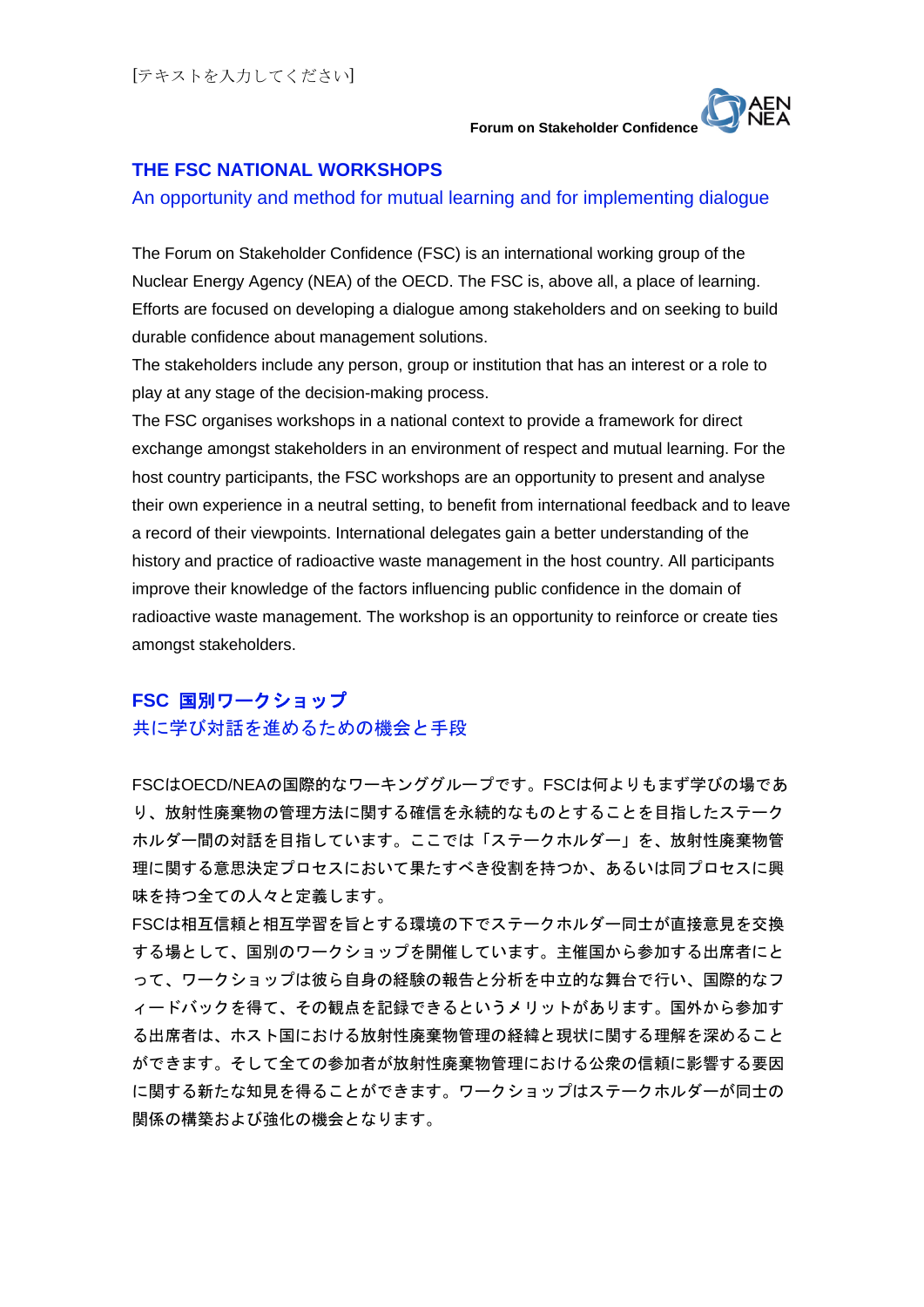## **THE FSC NATIONAL WORKSHOPS**

#### An opportunity and method for mutual learning and for implementing dialogue

The Forum on Stakeholder Confidence (FSC) is an international working group of the Nuclear Energy Agency (NEA) of the OECD. The FSC is, above all, a place of learning. Efforts are focused on developing a dialogue among stakeholders and on seeking to build durable confidence about management solutions.

The stakeholders include any person, group or institution that has an interest or a role to play at any stage of the decision-making process.

The FSC organises workshops in a national context to provide a framework for direct exchange amongst stakeholders in an environment of respect and mutual learning. For the host country participants, the FSC workshops are an opportunity to present and analyse their own experience in a neutral setting, to benefit from international feedback and to leave a record of their viewpoints. International delegates gain a better understanding of the history and practice of radioactive waste management in the host country. All participants improve their knowledge of the factors influencing public confidence in the domain of radioactive waste management. The workshop is an opportunity to reinforce or create ties amongst stakeholders.

# **FSC** 国別ワークショップ

## 共に学び対話を進めるための機会と手段

FSCはOECD/NEAの国際的なワーキンググループです。FSCは何よりもまず学びの場であ り、放射性廃棄物の管理方法に関する確信を永続的なものとすることを目指したステーク ホルダー間の対話を目指しています。ここでは「ステークホルダー」を、放射性廃棄物管 理に関する意思決定プロセスにおいて果たすべき役割を持つか、あるいは同プロセスに興 味を持つ全ての人々と定義します。

FSCは相互信頼と相互学習を旨とする環境の下でステークホルダー同士が直接意見を交換 する場として、国別のワークショップを開催しています。主催国から参加する出席者にと って、ワークショップは彼ら自身の経験の報告と分析を中立的な舞台で行い、国際的なフ ィードバックを得て、その観点を記録できるというメリットがあります。国外から参加す る出席者は、ホスト国における放射性廃棄物管理の経緯と現状に関する理解を深めること ができます。そして全ての参加者が放射性廃棄物管理における公衆の信頼に影響する要因 に関する新たな知見を得ることができます。ワークショップはステークホルダーが同士の 関係の構築および強化の機会となります。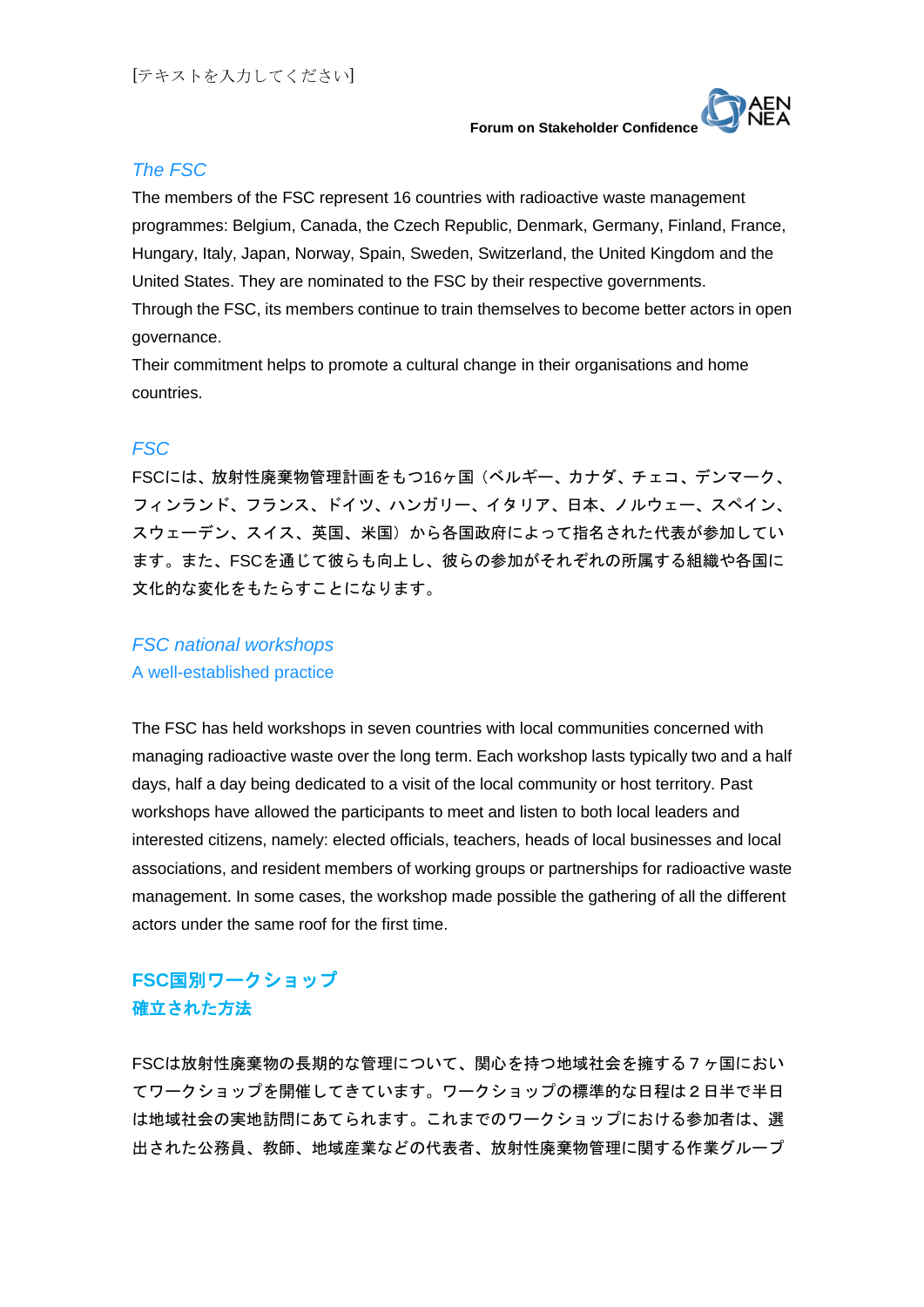

# *The FSC*

The members of the FSC represent 16 countries with radioactive waste management programmes: Belgium, Canada, the Czech Republic, Denmark, Germany, Finland, France, Hungary, Italy, Japan, Norway, Spain, Sweden, Switzerland, the United Kingdom and the United States. They are nominated to the FSC by their respective governments. Through the FSC, its members continue to train themselves to become better actors in open governance.

Their commitment helps to promote a cultural change in their organisations and home countries.

# *FSC*

FSCには、放射性廃棄物管理計画をもつ16ヶ国(ベルギー、カナダ、チェコ、デンマーク、 フィンランド、フランス、ドイツ、ハンガリー、イタリア、日本、ノルウェー、スペイン、 スウェーデン、スイス、英国、米国)から各国政府によって指名された代表が参加してい ます。また、FSCを通じて彼らも向上し、彼らの参加がそれぞれの所属する組織や各国に 文化的な変化をもたらすことになります。

# *FSC national workshops*

A well-established practice

The FSC has held workshops in seven countries with local communities concerned with managing radioactive waste over the long term. Each workshop lasts typically two and a half days, half a day being dedicated to a visit of the local community or host territory. Past workshops have allowed the participants to meet and listen to both local leaders and interested citizens, namely: elected officials, teachers, heads of local businesses and local associations, and resident members of working groups or partnerships for radioactive waste management. In some cases, the workshop made possible the gathering of all the different actors under the same roof for the first time.

# **FSC**国別ワークショップ 確立された方法

FSCは放射性廃棄物の長期的な管理について、関心を持つ地域社会を擁する7ヶ国におい てワークショップを開催してきています。ワークショップの標準的な日程は2日半で半日 は地域社会の実地訪問にあてられます。これまでのワークショップにおける参加者は、選 出された公務員、教師、地域産業などの代表者、放射性廃棄物管理に関する作業グループ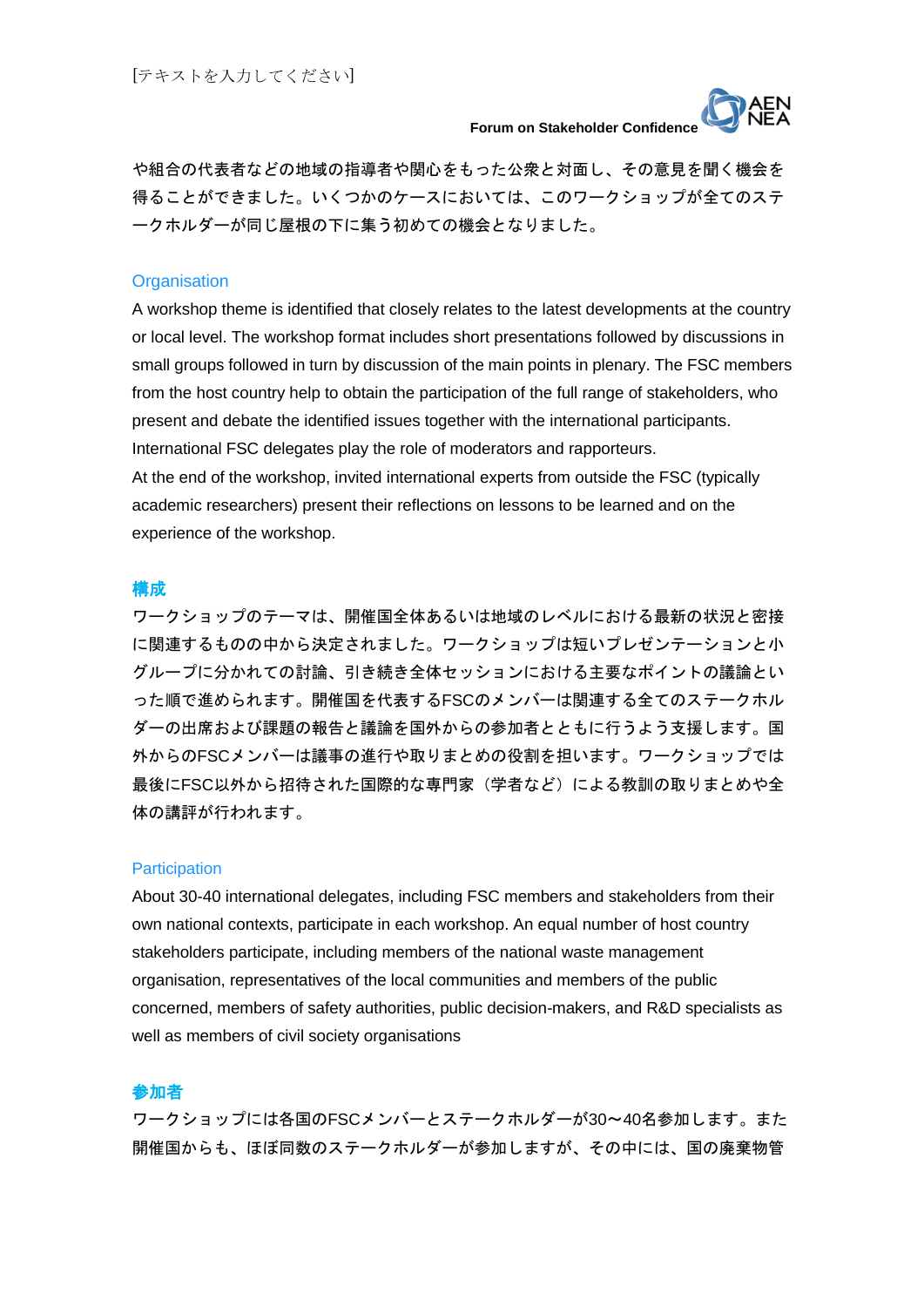

や組合の代表者などの地域の指導者や関心をもった公衆と対面し、その意見を聞く機会を 得ることができました。いくつかのケースにおいては、このワークショップが全てのステ ークホルダーが同じ屋根の下に集う初めての機会となりました。

#### **Organisation**

A workshop theme is identified that closely relates to the latest developments at the country or local level. The workshop format includes short presentations followed by discussions in small groups followed in turn by discussion of the main points in plenary. The FSC members from the host country help to obtain the participation of the full range of stakeholders, who present and debate the identified issues together with the international participants. International FSC delegates play the role of moderators and rapporteurs. At the end of the workshop, invited international experts from outside the FSC (typically academic researchers) present their reflections on lessons to be learned and on the experience of the workshop.

#### 構成

ワークショップのテーマは、開催国全体あるいは地域のレベルにおける最新の状況と密接 に関連するものの中から決定されました。ワークショップは短いプレゼンテーションと小 グループに分かれての討論、引き続き全体セッションにおける主要なポイントの議論とい った順で進められます。開催国を代表するFSCのメンバーは関連する全てのステークホル ダーの出席および課題の報告と議論を国外からの参加者とともに行うよう支援します。国 外からのFSCメンバーは議事の進行や取りまとめの役割を担います。ワークショップでは 最後にFSC以外から招待された国際的な専門家(学者など)による教訓の取りまとめや全 体の講評が行われます。

#### **Participation**

About 30-40 international delegates, including FSC members and stakeholders from their own national contexts, participate in each workshop. An equal number of host country stakeholders participate, including members of the national waste management organisation, representatives of the local communities and members of the public concerned, members of safety authorities, public decision-makers, and R&D specialists as well as members of civil society organisations

#### 参加者

ワークショップには各国のFSCメンバーとステークホルダーが30~40名参加します。また 開催国からも、ほぼ同数のステークホルダーが参加しますが、その中には、国の廃棄物管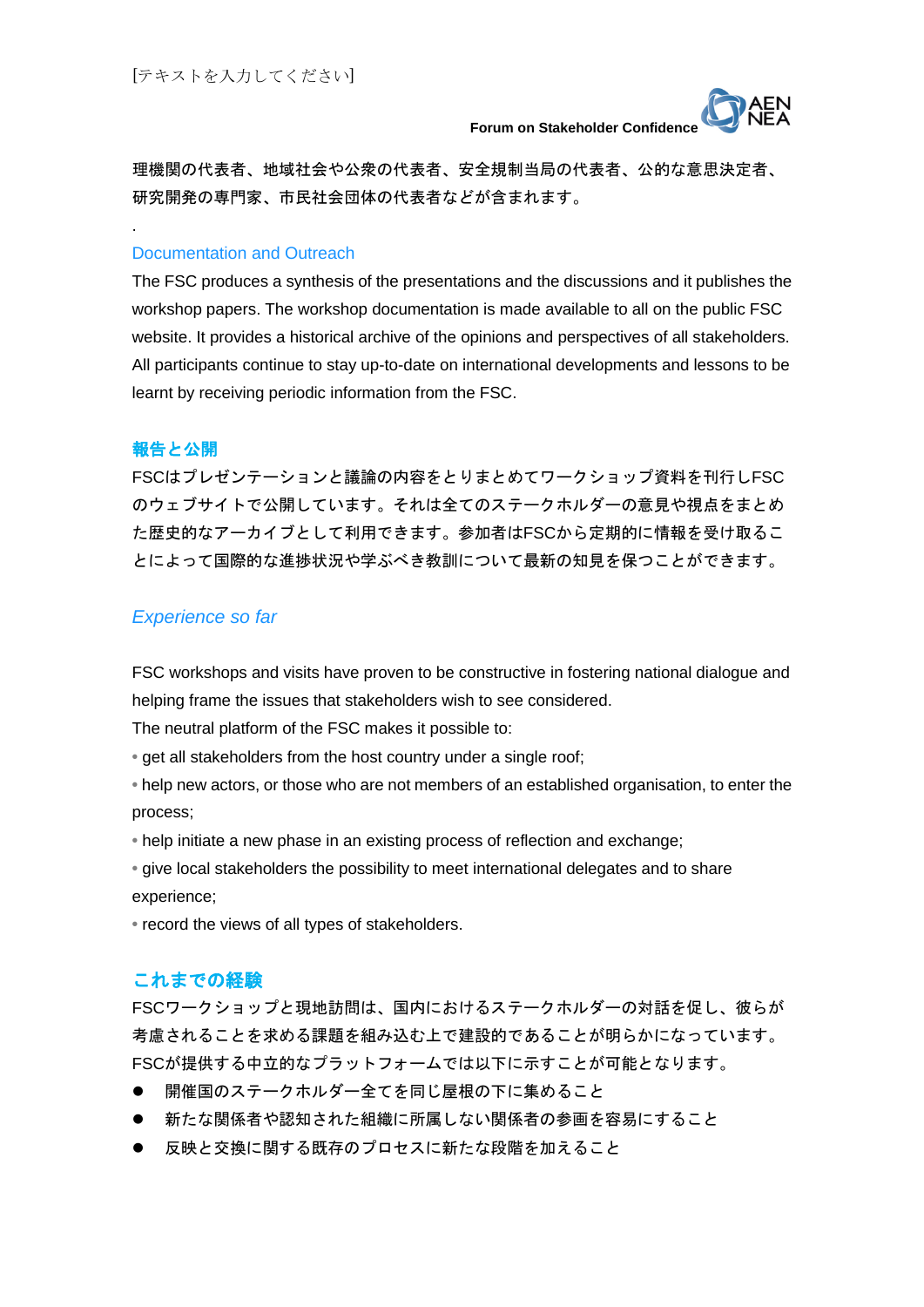

理機関の代表者、地域社会や公衆の代表者、安全規制当局の代表者、公的な意思決定者、 研究開発の専門家、市民社会団体の代表者などが含まれます。

#### Documentation and Outreach

The FSC produces a synthesis of the presentations and the discussions and it publishes the workshop papers. The workshop documentation is made available to all on the public FSC website. It provides a historical archive of the opinions and perspectives of all stakeholders. All participants continue to stay up-to-date on international developments and lessons to be learnt by receiving periodic information from the FSC.

#### 報告と公開

.

FSCはプレゼンテーションと議論の内容をとりまとめてワークショップ資料を刊行しFSC のウェブサイトで公開しています。それは全てのステークホルダーの意見や視点をまとめ た歴史的なアーカイブとして利用できます。参加者はFSCから定期的に情報を受け取るこ とによって国際的な進捗状況や学ぶべき教訓について最新の知見を保つことができます。

#### *Experience so far*

FSC workshops and visits have proven to be constructive in fostering national dialogue and helping frame the issues that stakeholders wish to see considered.

The neutral platform of the FSC makes it possible to:

- get all stakeholders from the host country under a single roof;
- help new actors, or those who are not members of an established organisation, to enter the process;
- help initiate a new phase in an existing process of reflection and exchange;
- give local stakeholders the possibility to meet international delegates and to share experience;

**•** record the views of all types of stakeholders.

#### これまでの経験

FSCワークショップと現地訪問は、国内におけるステークホルダーの対話を促し、彼らが 考慮されることを求める課題を組み込む上で建設的であることが明らかになっています。 FSCが提供する中立的なプラットフォームでは以下に示すことが可能となります。

- 開催国のステークホルダー全てを同じ屋根の下に集めること
- 新たな関係者や認知された組織に所属しない関係者の参画を容易にすること
- 反映と交換に関する既存のプロセスに新たな段階を加えること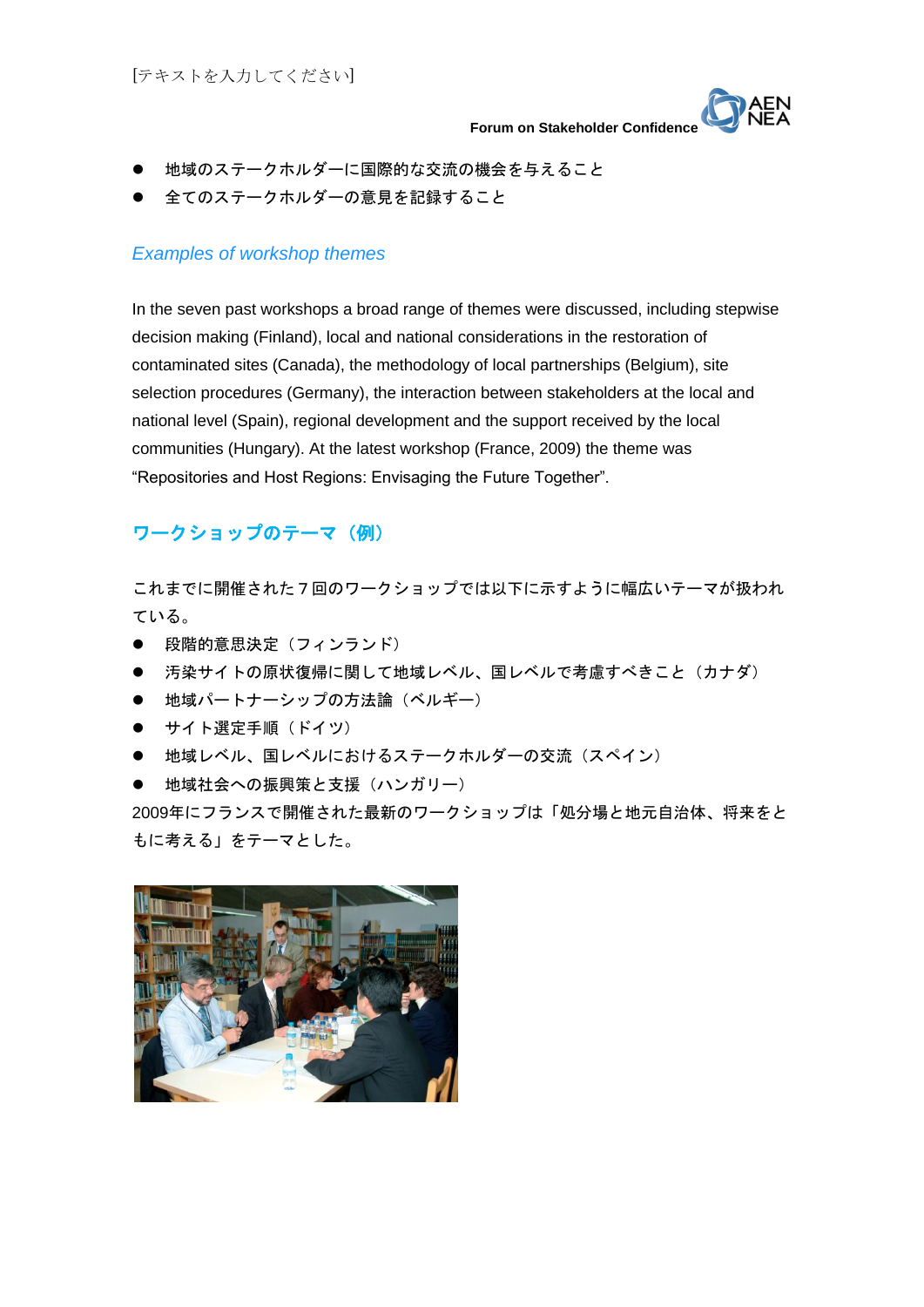

- 地域のステークホルダーに国際的な交流の機会を与えること
- 全てのステークホルダーの意見を記録すること

### *Examples of workshop themes*

In the seven past workshops a broad range of themes were discussed, including stepwise decision making (Finland), local and national considerations in the restoration of contaminated sites (Canada), the methodology of local partnerships (Belgium), site selection procedures (Germany), the interaction between stakeholders at the local and national level (Spain), regional development and the support received by the local communities (Hungary). At the latest workshop (France, 2009) the theme was "Repositories and Host Regions: Envisaging the Future Together".

# ワークショップのテーマ(例)

これまでに開催された7回のワークショップでは以下に示すように幅広いテーマが扱われ ている。

- 段階的意思決定(フィンランド)
- 汚染サイトの原状復帰に関して地域レベル、国レベルで考慮すべきこと(カナダ)
- 地域パートナーシップの方法論(ベルギー)
- サイト選定手順 (ドイツ)
- 地域レベル、国レベルにおけるステークホルダーの交流(スペイン)
- 地域社会への振興策と支援(ハンガリー)

2009年にフランスで開催された最新のワークショップは「処分場と地元自治体、将来をと もに考える」をテーマとした。